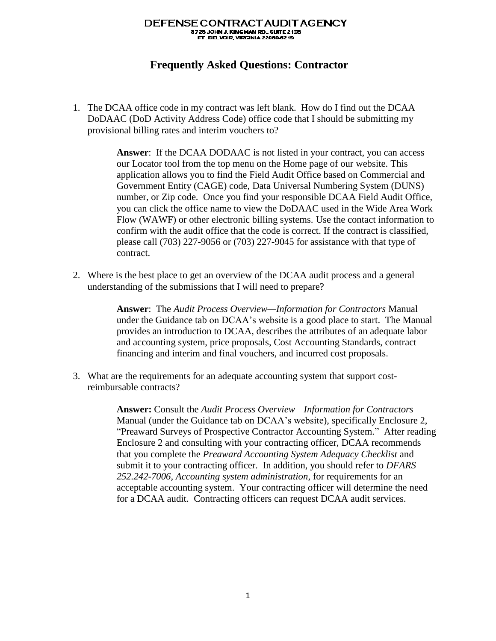## DEFENSE CONTRACT AUDIT AGENCY 8725 JOHN J. KINGMAN RD., SUITE 2135<br>FT. BELVOIR, VIRGINIA 22060-6219

## **Frequently Asked Questions: Contractor**

1. The DCAA office code in my contract was left blank. How do I find out the DCAA DoDAAC (DoD Activity Address Code) office code that I should be submitting my provisional billing rates and interim vouchers to?

> **Answer**: If the DCAA DODAAC is not listed in your contract, you can access our Locator tool from the top menu on the Home page of our website. This application allows you to find the Field Audit Office based on Commercial and Government Entity (CAGE) code, Data Universal Numbering System (DUNS) number, or Zip code. Once you find your responsible DCAA Field Audit Office, you can click the office name to view the DoDAAC used in the Wide Area Work Flow (WAWF) or other electronic billing systems. Use the contact information to confirm with the audit office that the code is correct. If the contract is classified, please call (703) 227-9056 or (703) 227-9045 for assistance with that type of contract.

2. Where is the best place to get an overview of the DCAA audit process and a general understanding of the submissions that I will need to prepare?

> **Answer**: The *Audit Process Overview—Information for Contractors* Manual under the Guidance tab on DCAA's website is a good place to start. The Manual provides an introduction to DCAA, describes the attributes of an adequate labor and accounting system, price proposals, Cost Accounting Standards, contract financing and interim and final vouchers, and incurred cost proposals.

3. What are the requirements for an adequate accounting system that support costreimbursable contracts?

> **Answer:** Consult the *Audit Process Overview—Information for Contractors* Manual (under the Guidance tab on DCAA's website), specifically Enclosure 2, "Preaward Surveys of Prospective Contractor Accounting System." After reading Enclosure 2 and consulting with your contracting officer, DCAA recommends that you complete the *Preaward Accounting System Adequacy Checklist* and submit it to your contracting officer. In addition, you should refer to *DFARS 252.242-7006, Accounting system administration*, for requirements for an acceptable accounting system. Your contracting officer will determine the need for a DCAA audit. Contracting officers can request DCAA audit services.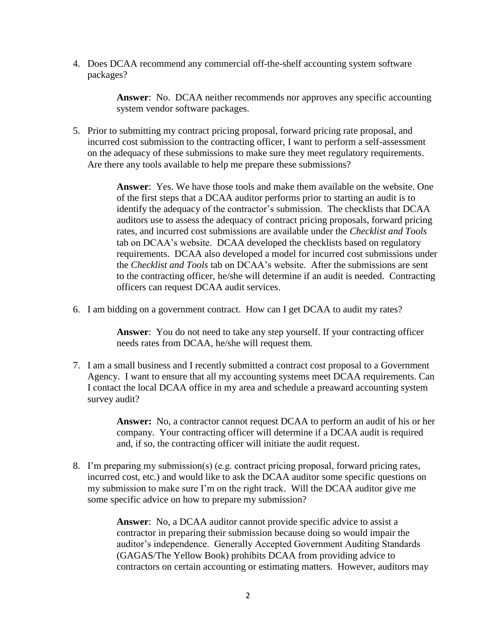4. Does DCAA recommend any commercial off-the-shelf accounting system software packages?

> **Answer**: No. DCAA neither recommends nor approves any specific accounting system vendor software packages.

5. Prior to submitting my contract pricing proposal, forward pricing rate proposal, and incurred cost submission to the contracting officer, I want to perform a self-assessment on the adequacy of these submissions to make sure they meet regulatory requirements. Are there any tools available to help me prepare these submissions?

> **Answer**: Yes. We have those tools and make them available on the website. One of the first steps that a DCAA auditor performs prior to starting an audit is to identify the adequacy of the contractor's submission. The checklists that DCAA auditors use to assess the adequacy of contract pricing proposals, forward pricing rates, and incurred cost submissions are available under the *Checklist and Tools*  tab on DCAA's website. DCAA developed the checklists based on regulatory requirements. DCAA also developed a model for incurred cost submissions under the *Checklist and Tools* tab on DCAA's website. After the submissions are sent to the contracting officer, he/she will determine if an audit is needed. Contracting officers can request DCAA audit services.

6. I am bidding on a government contract. How can I get DCAA to audit my rates?

**Answer**: You do not need to take any step yourself. If your contracting officer needs rates from DCAA, he/she will request them.

7. I am a small business and I recently submitted a contract cost proposal to a Government Agency. I want to ensure that all my accounting systems meet DCAA requirements. Can I contact the local DCAA office in my area and schedule a preaward accounting system survey audit?

> **Answer:** No, a contractor cannot request DCAA to perform an audit of his or her company. Your contracting officer will determine if a DCAA audit is required and, if so, the contracting officer will initiate the audit request.

8. I'm preparing my submission(s) (e.g. contract pricing proposal, forward pricing rates, incurred cost, etc.) and would like to ask the DCAA auditor some specific questions on my submission to make sure I'm on the right track. Will the DCAA auditor give me some specific advice on how to prepare my submission?

> **Answer**: No, a DCAA auditor cannot provide specific advice to assist a contractor in preparing their submission because doing so would impair the auditor's independence. Generally Accepted Government Auditing Standards (GAGAS/The Yellow Book) prohibits DCAA from providing advice to contractors on certain accounting or estimating matters. However, auditors may